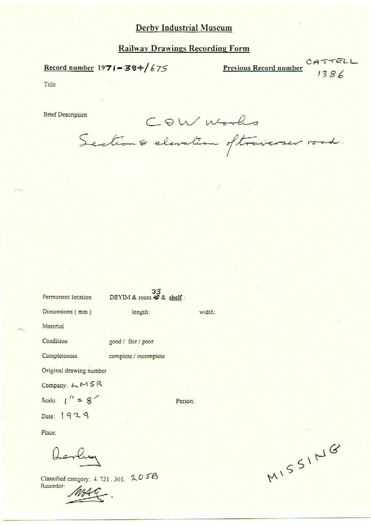# **Railway Drawings Recording Form**

Record number  $1971 - 384/675$ 

Previous Record number CATTELL

Title

**Brief Description** 

COW Works

Sections elevation oftraverser road.

| Permanent location      | DBYIM & room # & shelf: |         |
|-------------------------|-------------------------|---------|
| Dimensions (mm)         | length:                 | width:  |
| Material                |                         |         |
| Condition               | good / fair / poor      |         |
| Completeness            | complete / incomplete   |         |
| Original drawing number |                         |         |
| Company: LMSR           |                         |         |
| Scale: $1'' = 8'$       |                         | Person: |
| Date: 1929              |                         |         |
| Place:                  |                         |         |
|                         |                         |         |

Classified category: 4.721.301. 2058 Recorder:

۰.

MISSING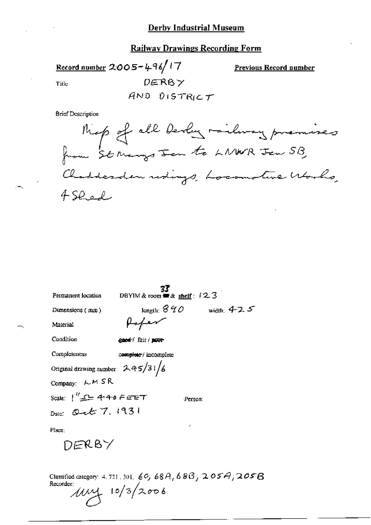## **Railway Drawings Recording Form**

Record number 2005-496/17  $DERB \gamma$ Title

**Previous Record number** 

AND DISTRICT

**Brief Description** 

|                                    | 77                                           |                |
|------------------------------------|----------------------------------------------|----------------|
| Permanent location                 | DBYIM & toom $\equiv x \text{ shell}$ : 12.3 |                |
| Dimensions (mm)                    | length: $840$                                | width: $4-2.5$ |
| Material                           | ffer                                         |                |
| Condition                          | good fair / pour                             |                |
| Completeness                       | complete / incomplete                        |                |
| Original drawing number $245/31/6$ |                                              |                |
| Company: LMSR                      |                                              |                |
| Scale:  ″⊋⊆ 440 F∈ுट⊤              |                                              | Person:        |
| Dale: Out 7, 1931                  |                                              |                |
| Place:                             |                                              | r.             |
| DERBY                              |                                              |                |

Classified category: 4.721, 301, 60, 68A, 68B, 205A, 205B<br>Recorder:  $10/3/2006$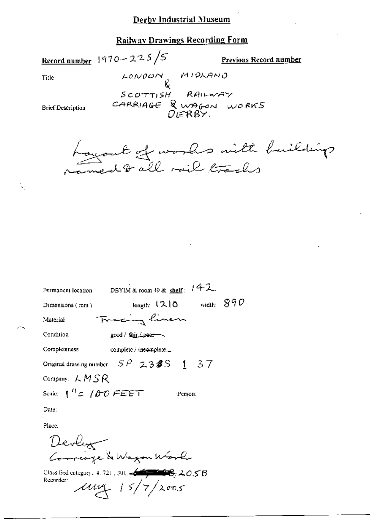#### **Railway Drawings Recording Form**

Record number  $1970 - 225/5$ 

Previous Record number

Title

LONDON MIDLAND  $s$  corrist RAILWAY CARRIAGE & WAGON WORKS

**Brief Description** 

Loyart of works with huilding

| Permanent location                      | DBYIM & room 49 & shelf: 142    |         |  |              |  |  |
|-----------------------------------------|---------------------------------|---------|--|--------------|--|--|
| Dimensions (mm)                         | length: $(2)0$                  |         |  | width: $890$ |  |  |
| Material                                | Tracing linen                   |         |  |              |  |  |
| Condition                               | good / fair <del>/ poor -</del> |         |  |              |  |  |
| Completeness                            | complete / incomplete _         |         |  |              |  |  |
| Original drawing number $SP$ 238S 1 37  |                                 |         |  |              |  |  |
| Company: $LMSR$                         |                                 |         |  |              |  |  |
| Scale: $\int_{0}^{H} f(x) d\theta$ FEET |                                 | Person: |  |              |  |  |

Date:

Place:

Devly Correspe & Wagon Work

Classified category, 4, 721, 301,  $\leftarrow$   $\leftarrow$   $\leftarrow$   $\leftarrow$   $\leftarrow$   $\leftarrow$   $\leftarrow$   $\leftarrow$   $\leftarrow$   $\leftarrow$   $\leftarrow$   $\leftarrow$   $\leftarrow$   $\leftarrow$   $\leftarrow$   $\leftarrow$   $\leftarrow$   $\leftarrow$   $\leftarrow$   $\leftarrow$   $\leftarrow$   $\leftarrow$   $\leftarrow$   $\leftarrow$   $\leftarrow$   $\leftarrow$   $\leftarrow$   $\leftarrow$   $\leftarrow$   $\leftarrow$   $\leftarrow$  Recorder:  $\mu$ ung 15/7/2005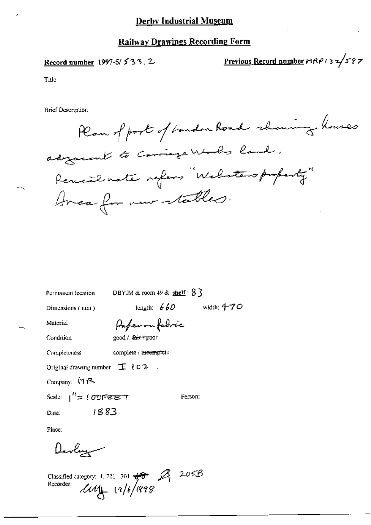#### **Railway Drawings Recording Form**

Record number 1997-5/533.2

Previous Record number  $r_1R_1r_2 \frac{1}{3} \frac{1}{2} \frac{1}{5} \frac{1}{7}$ 

Title

**Brief Description** 

Plan of port of bandon Road rhowing houses adjacent to Carriage Works land. Remail note refers "Welester's property" Area for new stables.

Permanent location

DBYIM & room  $49$  & shelf:  $8\bar{3}$ 

Dimensions (mm)

length:  $660$  width:  $470$ 

Material

Paperonfolice

Condition

good / fair+poor

Completeness complete / incomplete

 $\mathbb{R}^2$ Original drawing number  $\mathcal{I}$  102

Company: MR

Scale:  $1^{lt}$  = 100 Feber  $T$ 

Person:

1883 Date:

Place:

Devlaz

Classified category: 4.721.301  $\frac{1}{100}$   $\frac{1}{205}$  2.05B<br>Recorder:  $\frac{1}{100}$   $(9/6)/998$